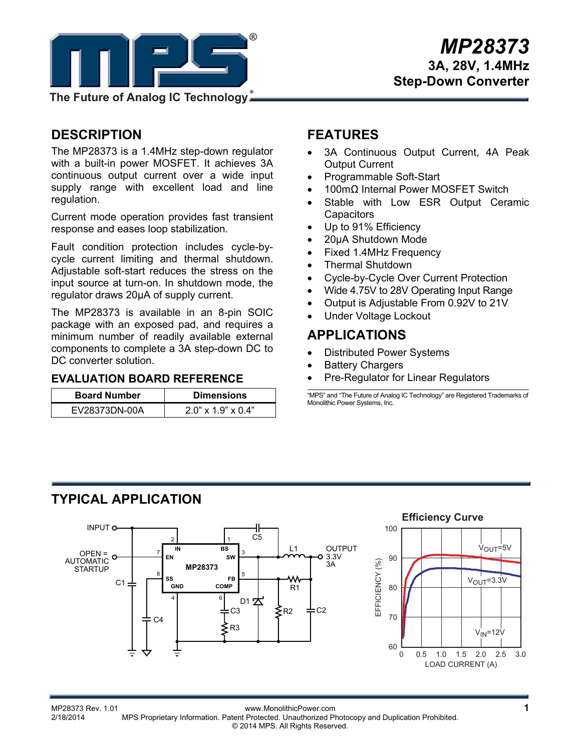

## **DESCRIPTION**

The MP28373 is a 1.4MHz step-down regulator with a built-in power MOSFET. It achieves 3A continuous output current over a wide input supply range with excellent load and line regulation.

Current mode operation provides fast transient response and eases loop stabilization.

Fault condition protection includes cycle-bycycle current limiting and thermal shutdown. Adjustable soft-start reduces the stress on the input source at turn-on. In shutdown mode, the regulator draws 20μA of supply current.

The MP28373 is available in an 8-pin SOIC package with an exposed pad, and requires a minimum number of readily available external components to complete a 3A step-down DC to DC converter solution.

### **EVALUATION BOARD REFERENCE**

| <b>Board Number</b> | <b>Dimensions</b>           |
|---------------------|-----------------------------|
| EV28373DN-00A       | $2.0$ " x $1.9$ " x $0.4$ " |

## **FEATURES**

- 3A Continuous Output Current, 4A Peak Output Current
- Programmable Soft-Start
- 100mΩ Internal Power MOSFET Switch
- Stable with Low ESR Output Ceramic **Capacitors**
- Up to 91% Efficiency
- 20μA Shutdown Mode
- Fixed 1.4MHz Frequency
- Thermal Shutdown
- Cycle-by-Cycle Over Current Protection
- Wide 4.75V to 28V Operating Input Range
- Output is Adjustable From 0.92V to 21V
- Under Voltage Lockout

## **APPLICATIONS**

- Distributed Power Systems
- Battery Chargers
- Pre-Regulator for Linear Regulators

"MPS" and "The Future of Analog IC Technology" are Registered Trademarks of Monolithic Power Systems, Inc.

# **TYPICAL APPLICATION**



 $V_{IN}$ =12 $V$ 

 $V_{\text{OUT}} = 5V$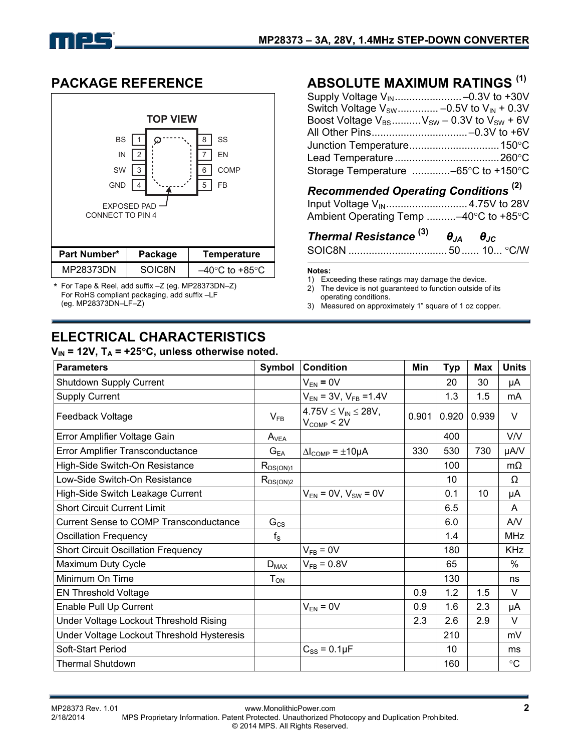

## **PACKAGE REFERENCE**



\* For Tape & Reel, add suffix –Z (eg. MP28373DN–Z) For RoHS compliant packaging, add suffix –LF (eg. MP28373DN–LF–Z)

# **ELECTRICAL CHARACTERISTICS**

### $V_{IN}$  = 12V,  $T_A$  = +25°C, unless otherwise noted.

## **ABSOLUTE MAXIMUM RATINGS (1)**

| Supply Voltage V <sub>IN</sub> -0.3V to +30V                          |
|-----------------------------------------------------------------------|
| Switch Voltage $V_{SW}$ -0.5V to $V_{IN}$ + 0.3V                      |
| Boost Voltage $V_{BS}$ V <sub>SW</sub> – 0.3V to V <sub>SW</sub> + 6V |
| All Other Pins-0.3V to +6V                                            |
| Junction Temperature 150°C                                            |
|                                                                       |
| Storage Temperature -65°C to +150°C                                   |

## *Recommended Operating Conditions* **(2)**

| Ambient Operating Temp -40°C to +85°C |  |
|---------------------------------------|--|

| Thermal Resistance $^{(3)}$ $\theta_{JA}$ $\theta_{JC}$ |  |  |
|---------------------------------------------------------|--|--|
|                                                         |  |  |

#### **Notes:**

- 1) Exceeding these ratings may damage the device.<br>2) The device is not quaranteed to function outside of
- The device is not quaranteed to function outside of its operating conditions.
- 3) Measured on approximately 1" square of 1 oz copper.

| <b>Parameters</b>                             | Symbol        | <b>Condition</b>                              | Min   | <b>Typ</b> | <b>Max</b> | <b>Units</b>    |
|-----------------------------------------------|---------------|-----------------------------------------------|-------|------------|------------|-----------------|
| Shutdown Supply Current                       |               | $V_{EN} = 0V$                                 |       | 20         | 30         | μA              |
| <b>Supply Current</b>                         |               | $V_{EN}$ = 3V, $V_{FB}$ =1.4V                 |       | 1.3        | 1.5        | mA              |
| Feedback Voltage                              | $V_{FB}$      | $4.75V \le V_{IN} \le 28V,$<br>$V_{COMP}< 2V$ | 0.901 | 0.920      | 0.939      | V               |
| Error Amplifier Voltage Gain                  | $A_{VEA}$     |                                               |       | 400        |            | <b>V/V</b>      |
| Error Amplifier Transconductance              | $G_{EA}$      | $\Delta l_{\text{COMP}} = \pm 10 \mu A$       | 330   | 530        | 730        | µA/V            |
| High-Side Switch-On Resistance                | $R_{DS(ON)1}$ |                                               |       | 100        |            | $m\Omega$       |
| Low-Side Switch-On Resistance                 | $R_{DS(ON)2}$ |                                               |       | 10         |            | Ω               |
| High-Side Switch Leakage Current              |               | $V_{EN} = 0V, V_{SW} = 0V$                    |       | 0.1        | 10         | μA              |
| <b>Short Circuit Current Limit</b>            |               |                                               |       | 6.5        |            | A               |
| <b>Current Sense to COMP Transconductance</b> | $G_{CS}$      |                                               |       | 6.0        |            | AV              |
| <b>Oscillation Frequency</b>                  | $f_{\rm S}$   |                                               |       | 1.4        |            | <b>MHz</b>      |
| <b>Short Circuit Oscillation Frequency</b>    |               | $V_{FB} = 0V$                                 |       | 180        |            | <b>KHz</b>      |
| Maximum Duty Cycle                            | $D_{MAX}$     | $V_{FB} = 0.8V$                               |       | 65         |            | %               |
| Minimum On Time                               | $T_{ON}$      |                                               |       | 130        |            | ns              |
| <b>EN Threshold Voltage</b>                   |               |                                               | 0.9   | 1.2        | 1.5        | V               |
| Enable Pull Up Current                        |               | $V_{EN} = 0V$                                 | 0.9   | 1.6        | 2.3        | μA              |
| Under Voltage Lockout Threshold Rising        |               |                                               | 2.3   | 2.6        | 2.9        | V               |
| Under Voltage Lockout Threshold Hysteresis    |               |                                               |       | 210        |            | mV              |
| Soft-Start Period                             |               | $C_{SS}$ = 0.1 $\mu$ F                        |       | 10         |            | ms              |
| <b>Thermal Shutdown</b>                       |               |                                               |       | 160        |            | $\rm ^{\circ}C$ |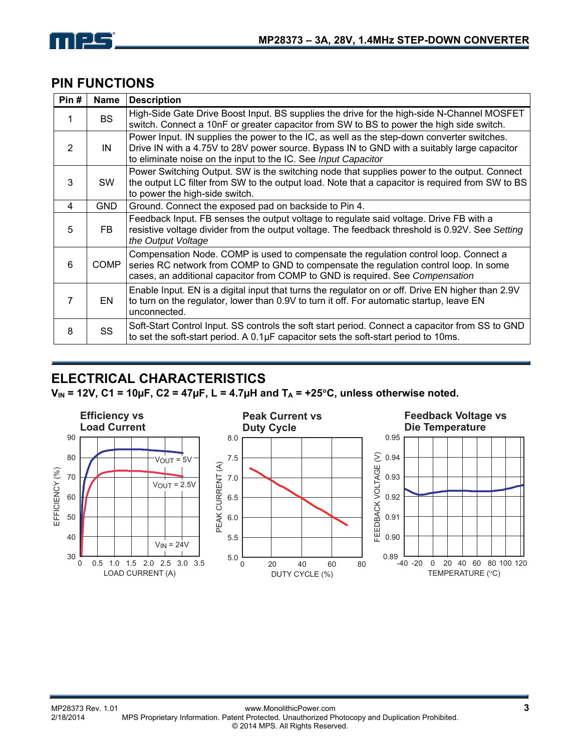

## **PIN FUNCTIONS**

| Pin# | Name       | <b>Description</b>                                                                                                                                                                                                                                             |
|------|------------|----------------------------------------------------------------------------------------------------------------------------------------------------------------------------------------------------------------------------------------------------------------|
|      | <b>BS</b>  | High-Side Gate Drive Boost Input. BS supplies the drive for the high-side N-Channel MOSFET<br>switch. Connect a 10nF or greater capacitor from SW to BS to power the high side switch.                                                                         |
| 2    | IN         | Power Input. IN supplies the power to the IC, as well as the step-down converter switches.<br>Drive IN with a 4.75V to 28V power source. Bypass IN to GND with a suitably large capacitor<br>to eliminate noise on the input to the IC. See Input Capacitor    |
| 3    | <b>SW</b>  | Power Switching Output. SW is the switching node that supplies power to the output. Connect<br>the output LC filter from SW to the output load. Note that a capacitor is required from SW to BS<br>to power the high-side switch.                              |
| 4    | <b>GND</b> | Ground. Connect the exposed pad on backside to Pin 4.                                                                                                                                                                                                          |
| 5    | FB.        | Feedback Input. FB senses the output voltage to regulate said voltage. Drive FB with a<br>resistive voltage divider from the output voltage. The feedback threshold is 0.92V. See Setting<br>the Output Voltage                                                |
| 6    | COMP       | Compensation Node. COMP is used to compensate the regulation control loop. Connect a<br>series RC network from COMP to GND to compensate the regulation control loop. In some<br>cases, an additional capacitor from COMP to GND is required. See Compensation |
|      | EN         | Enable Input. EN is a digital input that turns the regulator on or off. Drive EN higher than 2.9V<br>to turn on the regulator, lower than 0.9V to turn it off. For automatic startup, leave EN<br>unconnected.                                                 |
| 8    | SS         | Soft-Start Control Input. SS controls the soft start period. Connect a capacitor from SS to GND<br>to set the soft-start period. A $0.1\mu$ F capacitor sets the soft-start period to 10ms.                                                                    |

# **ELECTRICAL CHARACTERISTICS**

 $V_{IN}$  = 12V, C1 = 10µF, C2 = 47µF, L = 4.7µH and T<sub>A</sub> = +25°C, unless otherwise noted.

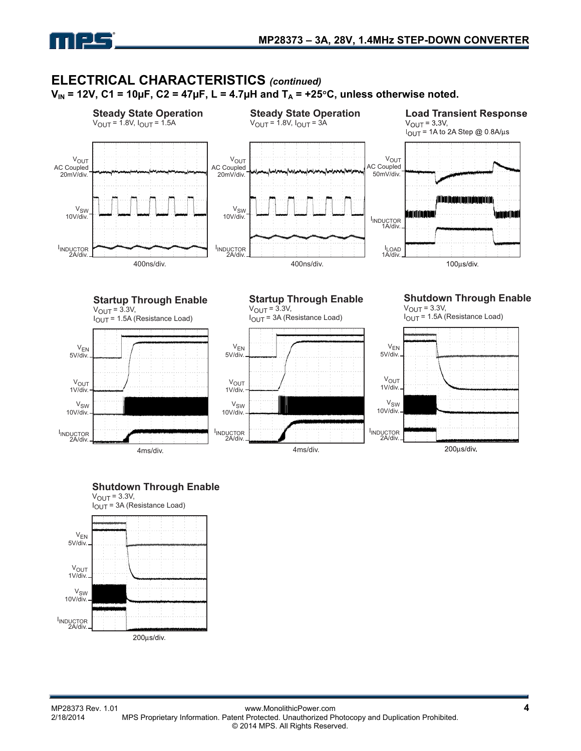

## **ELECTRICAL CHARACTERISTICS** *(continued)*  $V_{IN}$  = 12V, C1 = 10µF, C2 = 47µF, L = 4.7µH and T<sub>A</sub> = +25<sup>o</sup>C, unless otherwise noted.



### **Shutdown Through Enable**

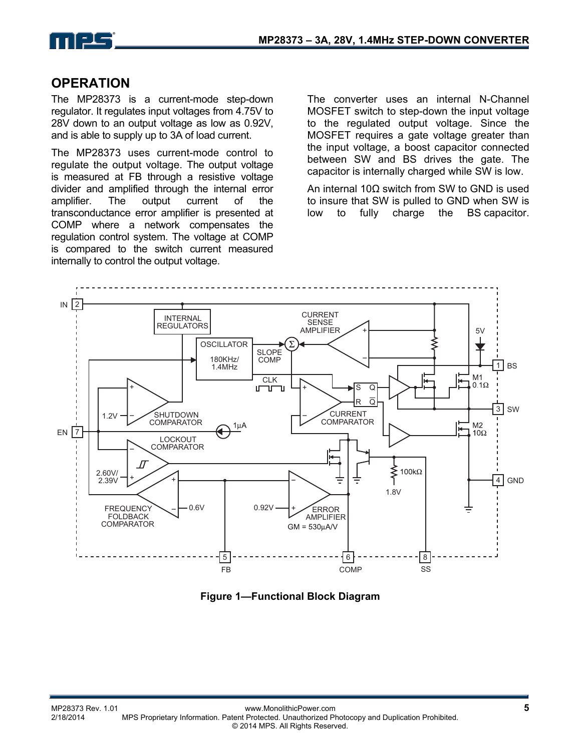

## **OPERATION**

The MP28373 is a current-mode step-down regulator. It regulates input voltages from 4.75V to 28V down to an output voltage as low as 0.92V, and is able to supply up to 3A of load current.

The MP28373 uses current-mode control to regulate the output voltage. The output voltage is measured at FB through a resistive voltage divider and amplified through the internal error amplifier. The output current of the transconductance error amplifier is presented at COMP where a network compensates the regulation control system. The voltage at COMP is compared to the switch current measured internally to control the output voltage.

The converter uses an internal N-Channel MOSFET switch to step-down the input voltage to the regulated output voltage. Since the MOSFET requires a gate voltage greater than the input voltage, a boost capacitor connected between SW and BS drives the gate. The capacitor is internally charged while SW is low.

An internal 10Ω switch from SW to GND is used to insure that SW is pulled to GND when SW is low to fully charge the BS capacitor.



**Figure 1—Functional Block Diagram**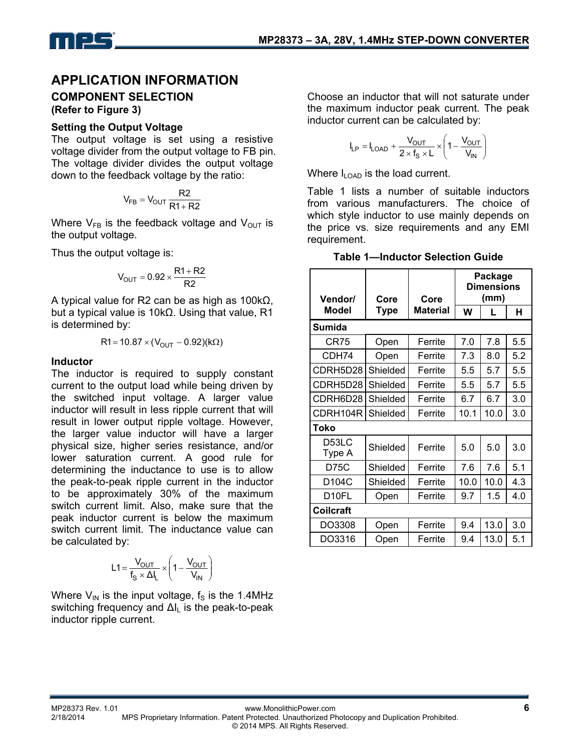

## **APPLICATION INFORMATION**

# **COMPONENT SELECTION**

**(Refer to Figure 3)** 

#### **Setting the Output Voltage**

The output voltage is set using a resistive voltage divider from the output voltage to FB pin. The voltage divider divides the output voltage down to the feedback voltage by the ratio:

$$
V_{FB} = V_{OUT} \frac{R2}{R1 + R2}
$$

Where  $V_{FB}$  is the feedback voltage and  $V_{OUT}$  is the output voltage.

Thus the output voltage is:

$$
V_{OUT} = 0.92 \times \frac{R1 + R2}{R2}
$$

A typical value for R2 can be as high as 100kΩ, but a typical value is 10kΩ. Using that value, R1 is determined by:

$$
R1 = 10.87 \times (V_{OUT} - 0.92)(k\Omega)
$$

#### **Inductor**

The inductor is required to supply constant current to the output load while being driven by the switched input voltage. A larger value inductor will result in less ripple current that will result in lower output ripple voltage. However, the larger value inductor will have a larger physical size, higher series resistance, and/or lower saturation current. A good rule for determining the inductance to use is to allow the peak-to-peak ripple current in the inductor to be approximately 30% of the maximum switch current limit. Also, make sure that the peak inductor current is below the maximum switch current limit. The inductance value can be calculated by:

$$
L1 = \frac{V_{OUT}}{f_S \times \Delta I_L} \times \left(1 - \frac{V_{OUT}}{V_{IN}}\right)
$$

Where  $V_{\text{IN}}$  is the input voltage,  $f_{\text{S}}$  is the 1.4MHz switching frequency and  $\Delta I_L$  is the peak-to-peak inductor ripple current.

Choose an inductor that will not saturate under the maximum inductor peak current. The peak inductor current can be calculated by:

$$
I_{LP} = I_{LOAD} + \frac{V_{OUT}}{2 \times f_S \times L} \times \left(1 - \frac{V_{OUT}}{V_{IN}}\right)
$$

Where  $I_{\text{LOAD}}$  is the load current.

Table 1 lists a number of suitable inductors from various manufacturers. The choice of which style inductor to use mainly depends on the price vs. size requirements and any EMI requirement.

**Table 1—Inductor Selection Guide** 

| Vendor/          | Core        | Core     | Package<br><b>Dimensions</b><br>(mm) |      |     |  |
|------------------|-------------|----------|--------------------------------------|------|-----|--|
| Model            | <b>Type</b> | Material | W                                    | L    | н   |  |
| Sumida           |             |          |                                      |      |     |  |
| CR75             | Open        | Ferrite  | 7.0                                  | 7.8  | 5.5 |  |
| CDH74            | Open        | Ferrite  | 7.3                                  | 8.0  | 5.2 |  |
| CDRH5D28         | Shielded    | Ferrite  | 5.5                                  | 5.7  | 5.5 |  |
| CDRH5D28         | Shielded    | Ferrite  | 5.5                                  | 5.7  | 5.5 |  |
| CDRH6D28         | Shielded    | Ferrite  | 6.7                                  | 6.7  | 3.0 |  |
| CDRH104R         | Shielded    | Ferrite  | 10.1                                 | 10.0 | 3.0 |  |
| Toko             |             |          |                                      |      |     |  |
| D53LC<br>Type A  | Shielded    | Ferrite  | 5.0                                  | 5.0  | 3.0 |  |
| D75C             | Shielded    | Ferrite  | 7.6                                  | 7.6  | 5.1 |  |
| D104C            | Shielded    | Ferrite  | 10.0                                 | 10.0 | 4.3 |  |
| D10FL            | Open        | Ferrite  | 9.7                                  | 1.5  | 4.0 |  |
| <b>Coilcraft</b> |             |          |                                      |      |     |  |
| DO3308           | Open        | Ferrite  | 9.4                                  | 13.0 | 3.0 |  |
| DO3316           | Open        | Ferrite  | 9.4                                  | 13.0 | 5.1 |  |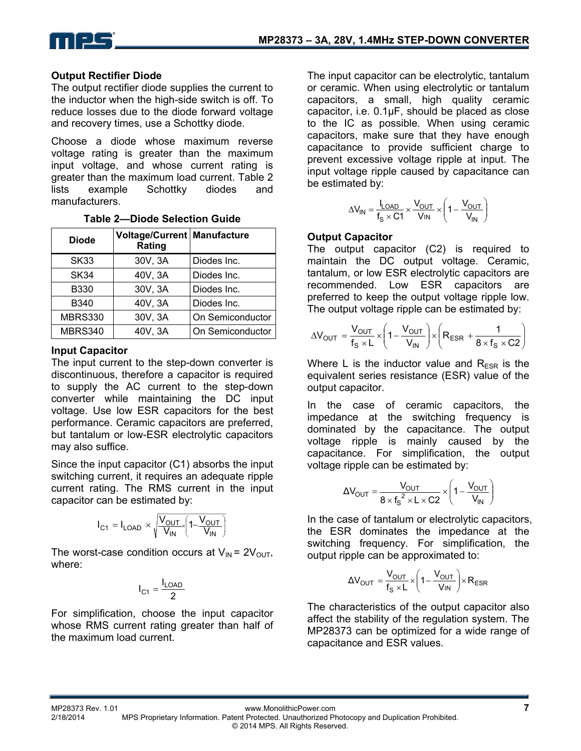

## **Output Rectifier Diode**

The output rectifier diode supplies the current to the inductor when the high-side switch is off. To reduce losses due to the diode forward voltage and recovery times, use a Schottky diode.

Choose a diode whose maximum reverse voltage rating is greater than the maximum input voltage, and whose current rating is greater than the maximum load current. Table 2 lists example Schottky diodes and manufacturers.

| <b>Diode</b>   | Voltage/Current   Manufacture<br>Rating |                  |  |
|----------------|-----------------------------------------|------------------|--|
| <b>SK33</b>    | 30V, 3A                                 | Diodes Inc.      |  |
| SK34           | 40V, 3A                                 | Diodes Inc.      |  |
| <b>B330</b>    | 30V, 3A                                 | Diodes Inc.      |  |
| B340           | 40V, 3A                                 | Diodes Inc.      |  |
| <b>MBRS330</b> | 30V, 3A                                 | On Semiconductor |  |
| MBRS340        | 40V, 3A                                 | On Semiconductor |  |

#### **Table 2—Diode Selection Guide**

### **Input Capacitor**

The input current to the step-down converter is discontinuous, therefore a capacitor is required to supply the AC current to the step-down converter while maintaining the DC input voltage. Use low ESR capacitors for the best performance. Ceramic capacitors are preferred, but tantalum or low-ESR electrolytic capacitors may also suffice.

Since the input capacitor (C1) absorbs the input switching current, it requires an adequate ripple current rating. The RMS current in the input capacitor can be estimated by:

$$
I_{C1} = I_{LOAD} \times \sqrt{\frac{V_{OUT}}{V_{IN}}} \left(1 - \frac{V_{OUT}}{V_{IN}}\right)
$$

The worst-case condition occurs at  $V_{IN} = 2V_{OUT}$ , where:

$$
I_{C1} = \frac{I_{LOAD}}{2}
$$

For simplification, choose the input capacitor whose RMS current rating greater than half of the maximum load current.

The input capacitor can be electrolytic, tantalum or ceramic. When using electrolytic or tantalum capacitors, a small, high quality ceramic capacitor, i.e. 0.1μF, should be placed as close to the IC as possible. When using ceramic capacitors, make sure that they have enough capacitance to provide sufficient charge to prevent excessive voltage ripple at input. The input voltage ripple caused by capacitance can be estimated by:

$$
\Delta V_{IN} = \frac{I_{LOAD}}{f_S \times C1} \times \frac{V_{OUT}}{V_{IN}} \times \left(1 - \frac{V_{OUT}}{V_{IN}}\right)
$$

### **Output Capacitor**

The output capacitor (C2) is required to maintain the DC output voltage. Ceramic, tantalum, or low ESR electrolytic capacitors are recommended. Low ESR capacitors are preferred to keep the output voltage ripple low. The output voltage ripple can be estimated by:

$$
\Delta V_{OUT} = \frac{V_{OUT}}{f_S \times L} \times \left(1 - \frac{V_{OUT}}{V_{IN}}\right) \times \left(R_{ESR} + \frac{1}{8 \times f_S \times C2}\right)
$$

Where L is the inductor value and  $R_{ESR}$  is the equivalent series resistance (ESR) value of the output capacitor.

In the case of ceramic capacitors, the impedance at the switching frequency is dominated by the capacitance. The output voltage ripple is mainly caused by the capacitance. For simplification, the output voltage ripple can be estimated by:

$$
\Delta V_{\text{OUT}} = \frac{V_{\text{OUT}}}{8 \times f_{\text{S}}^2 \times L \times C2} \times \left(1 - \frac{V_{\text{OUT}}}{V_{\text{IN}}}\right)
$$

In the case of tantalum or electrolytic capacitors, the ESR dominates the impedance at the switching frequency. For simplification, the output ripple can be approximated to:

$$
\Delta V_{OUT} = \frac{V_{OUT}}{f_s \times L} \times \left(1 - \frac{V_{OUT}}{V_{IN}}\right) \times R_{ESR}
$$

The characteristics of the output capacitor also affect the stability of the regulation system. The MP28373 can be optimized for a wide range of capacitance and ESR values.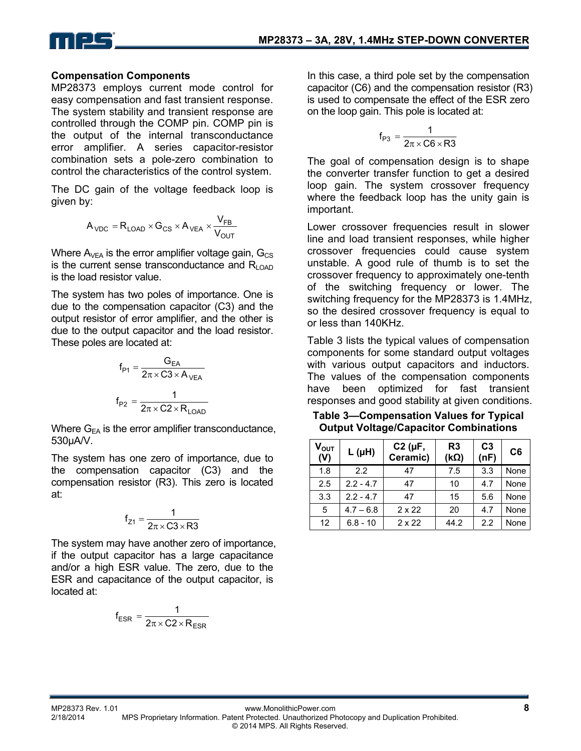

### **Compensation Components**

MP28373 employs current mode control for easy compensation and fast transient response. The system stability and transient response are controlled through the COMP pin. COMP pin is the output of the internal transconductance error amplifier. A series capacitor-resistor combination sets a pole-zero combination to control the characteristics of the control system.

The DC gain of the voltage feedback loop is given by:

$$
A_{\text{VDC}} = R_{\text{LOAD}} \times G_{\text{CS}} \times A_{\text{VEA}} \times \frac{V_{\text{FB}}}{V_{\text{OUT}}}
$$

Where  $A_{VEA}$  is the error amplifier voltage gain,  $G_{CS}$ is the current sense transconductance and  $R_{\text{LOAD}}$ is the load resistor value.

The system has two poles of importance. One is due to the compensation capacitor (C3) and the output resistor of error amplifier, and the other is due to the output capacitor and the load resistor. These poles are located at:

$$
f_{P1} = \frac{G_{EA}}{2\pi \times C3 \times A_{VEA}}
$$

$$
f_{P2} = \frac{1}{2\pi \times C2 \times R_{LOAD}}
$$

Where  $G_{FA}$  is the error amplifier transconductance, 530μA/V.

The system has one zero of importance, due to the compensation capacitor (C3) and the compensation resistor (R3). This zero is located at:

$$
f_{Z1}=\frac{1}{2\pi\times C3\times R3}
$$

The system may have another zero of importance, if the output capacitor has a large capacitance and/or a high ESR value. The zero, due to the ESR and capacitance of the output capacitor, is located at:

$$
f_{ESR} = \frac{1}{2\pi \times C2 \times R_{ESR}}
$$

In this case, a third pole set by the compensation capacitor (C6) and the compensation resistor (R3) is used to compensate the effect of the ESR zero on the loop gain. This pole is located at:

$$
f_{P3} = \frac{1}{2\pi \times C6 \times R3}
$$

The goal of compensation design is to shape the converter transfer function to get a desired loop gain. The system crossover frequency where the feedback loop has the unity gain is important.

Lower crossover frequencies result in slower line and load transient responses, while higher crossover frequencies could cause system unstable. A good rule of thumb is to set the crossover frequency to approximately one-tenth of the switching frequency or lower. The switching frequency for the MP28373 is 1.4MHz, so the desired crossover frequency is equal to or less than 140KHz.

Table 3 lists the typical values of compensation components for some standard output voltages with various output capacitors and inductors. The values of the compensation components have been optimized for fast transient responses and good stability at given conditions.

**Table 3—Compensation Values for Typical Output Voltage/Capacitor Combinations** 

| $V_{\text{OUT}}$<br>(V) | $L(\mu H)$  | $C2$ ( $\mu$ F,<br>Ceramic) | R <sub>3</sub><br>$(k\Omega)$ | C <sub>3</sub><br>(nF) | C <sub>6</sub> |
|-------------------------|-------------|-----------------------------|-------------------------------|------------------------|----------------|
| 1.8                     | 2.2         | 47                          | 7.5                           | 3.3                    | None           |
| 2.5                     | $2.2 - 4.7$ | 47                          | 10                            | 4.7                    | None           |
| 3.3                     | $2.2 - 4.7$ | 47                          | 15                            | 5.6                    | None           |
| 5                       | $4.7 - 6.8$ | $2 \times 22$               | 20                            | 4.7                    | None           |
| $12 \overline{ }$       | $6.8 - 10$  | $2 \times 22$               | 44.2                          | 2.2                    | None           |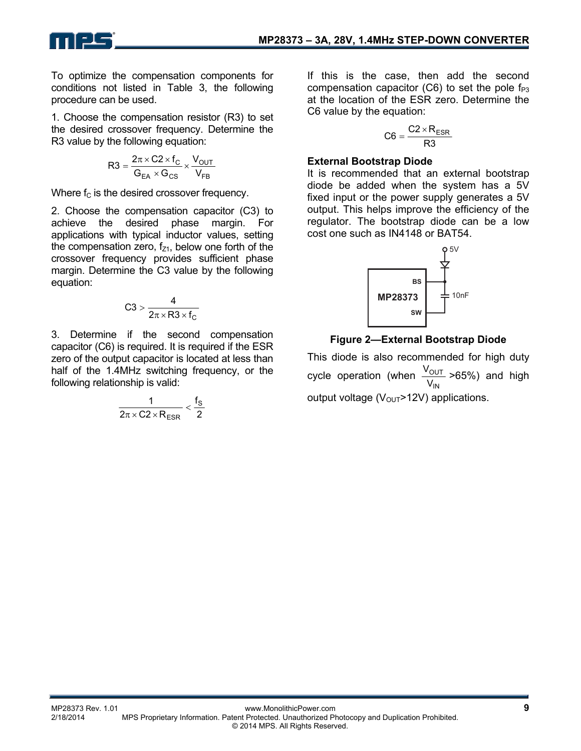To optimize the compensation components for conditions not listed in Table 3, the following procedure can be used.

1. Choose the compensation resistor (R3) to set the desired crossover frequency. Determine the R3 value by the following equation:

$$
R3 = \frac{2\pi \times C2 \times f_C}{G_{EA} \times G_{CS}} \times \frac{V_{OUT}}{V_{FB}}
$$

Where  $f_c$  is the desired crossover frequency.

2. Choose the compensation capacitor (C3) to achieve the desired phase margin. For applications with typical inductor values, setting the compensation zero,  $f_{z1}$ , below one forth of the crossover frequency provides sufficient phase margin. Determine the C3 value by the following equation:

$$
C3 > \frac{4}{2\pi \times R3 \times f_C}
$$

3. Determine if the second compensation capacitor (C6) is required. It is required if the ESR zero of the output capacitor is located at less than half of the 1.4MHz switching frequency, or the following relationship is valid:

$$
\frac{1}{2\pi \times C2 \times R_{ESR}} < \frac{f_S}{2}
$$

If this is the case, then add the second compensation capacitor (C6) to set the pole  $f_{P3}$ at the location of the ESR zero. Determine the C6 value by the equation:

$$
C6 = \frac{C2 \times R_{ESR}}{R3}
$$

### **External Bootstrap Diode**

It is recommended that an external bootstrap diode be added when the system has a 5V fixed input or the power supply generates a 5V output. This helps improve the efficiency of the regulator. The bootstrap diode can be a low cost one such as IN4148 or BAT54.



## **Figure 2—External Bootstrap Diode**

This diode is also recommended for high duty cycle operation (when IN OUT  $\frac{\rm V_{OUT}}{\rm V_{IN}}$  >65%) and high output voltage  $(V_{\text{OUT}} > 12V)$  applications.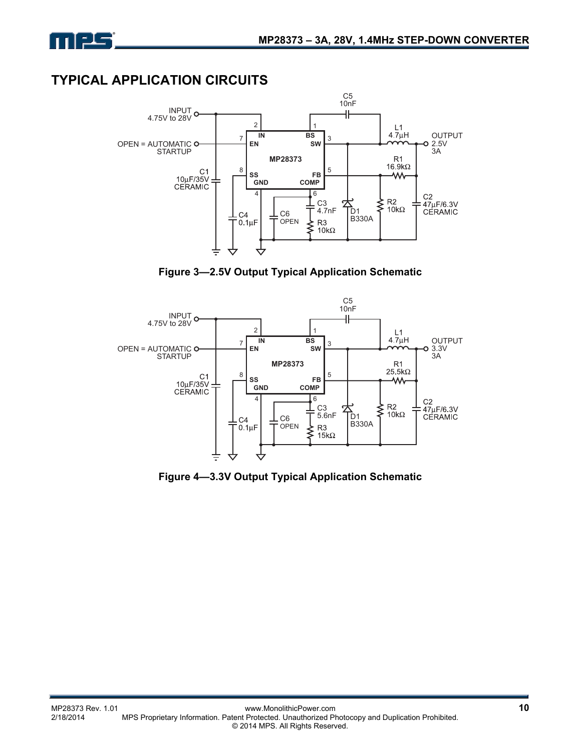

# **TYPICAL APPLICATION CIRCUITS**



**Figure 3—2.5V Output Typical Application Schematic** 



**Figure 4—3.3V Output Typical Application Schematic**